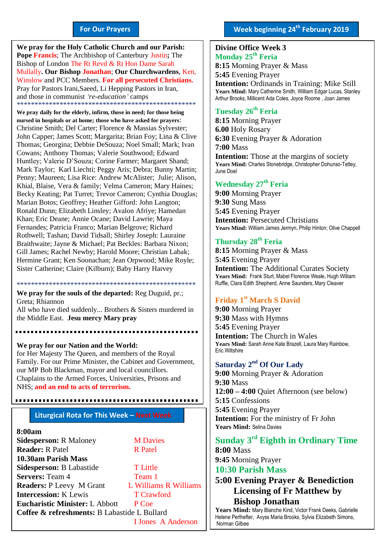#### **For Our Prayers**

arted Mullally**. Our Bishop Jonathan**; **Our Churchwardens**, Ken, **We pray for the Holy Catholic Church and our Parish: Pope Francis**; The Archbishop of Canterbury Justin**;** The Bishop of London The Rt Revd & Rt Hon Dame Sarah Winslow and PCC Members. **For all persecuted Christians.** Pray for Pastors Irani,Saeed, Li Hepping Pastors in Iran, and those in communist *'re-education'* camps \*\*\*\*\*\*\*\*\*\*\*\*\*\*\*\*\*\*\*\*\*\*\*\*\*\*\*\*\*\*\*\*\*\*\*\*\*\*\*\*\*\*\*\*\*\*\*\*\*\*

**We pray daily for the elderly, infirm, those in need; for those being nursed in hospitals or at home; those who have asked for prayers**: Christine Smith; Del Carter; Florence & Massias Sylvester; John Capper; James Scott; Margarita; Brian Foy; Lina & Clive Thomas; Georgina; Debbie DeSouza; Noel Small; Mark; Ivan Cowans; Anthony Thomas; Valerie Southwood; Edward Huntley; Valerie D'Souza; Corine Farmer; Margaret Shand; Mark Taylor; Karl Liechti; Peggy Aris; Debra; Bunny Martin; Penny; Maureen; Lisa Rice: Andrew McAlister; Julie; Alison, Khial, Blaise, Vera & family; Velma Cameron; Mary Haines; Becky Keating; Pat Turret; Trevor Cameron; Cynthia Douglas; Marian Botos; Geoffrey; Heather Gifford: John Langton; Ronald Dunn; Elizabeth Linsley; Avalon Afriye; Hamedan Khan; Eric Deane; Annie Ocane; David Lawrie; Maya Fernandes; Patricia Franco; Marian Belgrove; Richard Rothwell; Tashan; David Tidsall; Shirley Joseph: Lauraine Braithwaite; Jayne & Michael; Pat Beckles: Barbara Nixon; Gill James; Rachel Newby; Harold Moore; Christian Labak; Hermine Grant; Ken Soonachan; Jean Orpwood; Mike Royle; Sister Catherine; Claire (Kilburn); Baby Harry Harvey

\*\*\*\*\*\*\*\*\*\*\*\*\*\*\*\*\*\*\*\*\*\*\*\*\*\*\*\*\*\*\*\*\*\*\*\*\*\*\*\*\*\*\*\*\*\*\*\*\*\* **We pray for the souls of the departed:** Reg Duguid, pr.; Greta; Rhiannon All who have died suddenly... Brothers & Sisters murdered in the Middle East. **Jesu mercy Mary pray**

**We pray for our Nation and the World:** for Her Majesty The Queen, and members of the Royal Family. For our Prime Minister, the Cabinet and Government, our MP Bob Blackman, mayor and local councillors. Chaplains to the Armed Forces, Universities, Prisons and NHS; **and an end to acts of terrorism.**

#### **Liturgical Rota for This Week – Next Week**

#### **8:00am**

| <b>Sidesperson: R Maloney</b>                | <b>M</b> Davies           |
|----------------------------------------------|---------------------------|
| <b>Reader: R Patel</b>                       | <b>R</b> Patel            |
| 10.30am Parish Mass                          |                           |
| Sidesperson: B Labastide                     | <b>T</b> Little           |
| <b>Servers: Team 4</b>                       | Team 1                    |
| <b>Readers: P Leevy M Grant</b>              | L Williams R Williams     |
| <b>Intercession: K Lewis</b>                 | <b>T</b> Crawford         |
| <b>Eucharistic Minister: L Abbott</b>        | P Coe                     |
| Coffee & refreshments: B Labastide L Bullard |                           |
|                                              | <b>I Jones A Anderson</b> |

## **Divine Office Week 3 Monday 25th Feria**

**8:15** Morning Prayer & Mass **5:45** Evening Prayer **Intention:** Ordinands in Training: Mike Still **Years Mind:** Mary Catherine Smith, William Edgar Lucas, Stanley Arthur Brooks, Millicent Ada Coles, Joyce Roome , Joan James

### **Tuesday 26th Feria**

**8:15** Morning Prayer **6.00** Holy Rosary **6:30** Evening Prayer & Adoration **7:00** Mass **Intention:** Those at the margins of society **Years Mind:** Charles Stonebridge, Christopher Dohunso-Tettey, June Doel

#### **Wednesday 27 th Feria**

**9:00** Morning Prayer **9:30** Sung Mass **5:45** Evening Prayer **Intention: Persecuted Christians Years Mind:** William James Jermyn, Philip Hinton; Olive Chappell

#### **Thursday 28 th Feria**

**8:15** Morning Prayer & Mass **5:45** Evening Prayer **Intention:** The Additional Curates Society **Years Mind:** Frank Sturt, Mabel Florence Weale, Hugh William Ruffle, Clara Edith Shepherd, Anne Saunders, Mary Cleaver

#### **Friday 1 st March S David**

**9:00** Morning Prayer **9:30** Mass with Hymns **5:45** Evening Prayer **Intention:** The Church in Wales **Years Mind:** Sarah Anne Kate Brazell, Laura Mary Rainbow, Eric Wiltshire

#### **Saturday** 2<sup>nd</sup> Of Our Lady

**9:00** Morning Prayer & Adoration **9:30** Mass **12:00 – 4:00** Quiet Afternoon (see below) **5:15** Confessions **5:45** Evening Prayer **Intention:** For the ministry of Fr John **Years Mind:** Selina Davies

# **Sunday 3 rd Eighth in Ordinary Time**

**8:00** Mass **9:45** Morning Prayer

### **10:30 Parish Mass**

**5:00 Evening Prayer & Benediction Licensing of Fr Matthew by Bishop Jonathan**

**Years Mind:** Mary Blanche Kind, Victor Frank Deeks, Gabrielle Helene Perlhefter, Avyss Maria Brooks, Sylvia Elizabeth Simons, Norman Gilbee